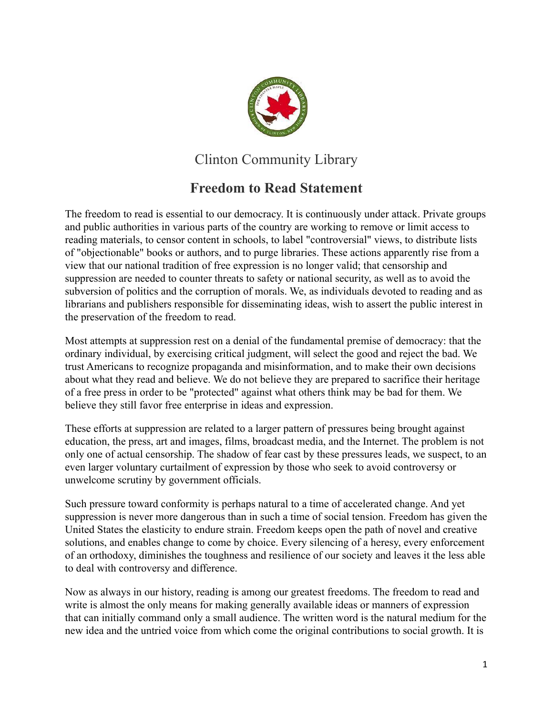

## Clinton Community Library

## **Freedom to Read Statement**

The freedom to read is essential to our democracy. It is continuously under attack. Private groups and public authorities in various parts of the country are working to remove or limit access to reading materials, to censor content in schools, to label "controversial" views, to distribute lists of "objectionable" books or authors, and to purge libraries. These actions apparently rise from a view that our national tradition of free expression is no longer valid; that censorship and suppression are needed to counter threats to safety or national security, as well as to avoid the subversion of politics and the corruption of morals. We, as individuals devoted to reading and as librarians and publishers responsible for disseminating ideas, wish to assert the public interest in the preservation of the freedom to read.

Most attempts at suppression rest on a denial of the fundamental premise of democracy: that the ordinary individual, by exercising critical judgment, will select the good and reject the bad. We trust Americans to recognize propaganda and misinformation, and to make their own decisions about what they read and believe. We do not believe they are prepared to sacrifice their heritage of a free press in order to be "protected" against what others think may be bad for them. We believe they still favor free enterprise in ideas and expression.

These efforts at suppression are related to a larger pattern of pressures being brought against education, the press, art and images, films, broadcast media, and the Internet. The problem is not only one of actual censorship. The shadow of fear cast by these pressures leads, we suspect, to an even larger voluntary curtailment of expression by those who seek to avoid controversy or unwelcome scrutiny by government officials.

Such pressure toward conformity is perhaps natural to a time of accelerated change. And yet suppression is never more dangerous than in such a time of social tension. Freedom has given the United States the elasticity to endure strain. Freedom keeps open the path of novel and creative solutions, and enables change to come by choice. Every silencing of a heresy, every enforcement of an orthodoxy, diminishes the toughness and resilience of our society and leaves it the less able to deal with controversy and difference.

Now as always in our history, reading is among our greatest freedoms. The freedom to read and write is almost the only means for making generally available ideas or manners of expression that can initially command only a small audience. The written word is the natural medium for the new idea and the untried voice from which come the original contributions to social growth. It is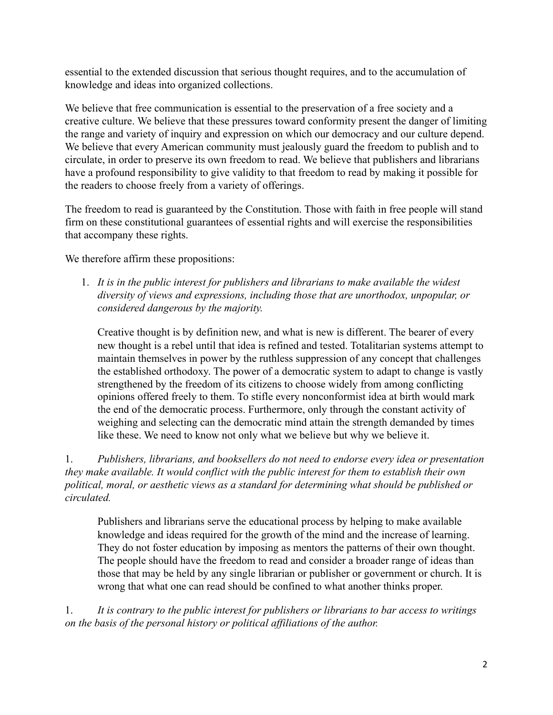essential to the extended discussion that serious thought requires, and to the accumulation of knowledge and ideas into organized collections.

We believe that free communication is essential to the preservation of a free society and a creative culture. We believe that these pressures toward conformity present the danger of limiting the range and variety of inquiry and expression on which our democracy and our culture depend. We believe that every American community must jealously guard the freedom to publish and to circulate, in order to preserve its own freedom to read. We believe that publishers and librarians have a profound responsibility to give validity to that freedom to read by making it possible for the readers to choose freely from a variety of offerings.

The freedom to read is guaranteed by the Constitution. Those with faith in free people will stand firm on these constitutional guarantees of essential rights and will exercise the responsibilities that accompany these rights.

We therefore affirm these propositions:

1. *It is in the public interest for publishers and librarians to make available the widest diversity of views and expressions, including those that are unorthodox, unpopular, or considered dangerous by the majority.*

Creative thought is by definition new, and what is new is different. The bearer of every new thought is a rebel until that idea is refined and tested. Totalitarian systems attempt to maintain themselves in power by the ruthless suppression of any concept that challenges the established orthodoxy. The power of a democratic system to adapt to change is vastly strengthened by the freedom of its citizens to choose widely from among conflicting opinions offered freely to them. To stifle every nonconformist idea at birth would mark the end of the democratic process. Furthermore, only through the constant activity of weighing and selecting can the democratic mind attain the strength demanded by times like these. We need to know not only what we believe but why we believe it.

1. *Publishers, librarians, and booksellers do not need to endorse every idea or presentation they make available. It would conflict with the public interest for them to establish their own political, moral, or aesthetic views as a standard for determining what should be published or circulated.*

Publishers and librarians serve the educational process by helping to make available knowledge and ideas required for the growth of the mind and the increase of learning. They do not foster education by imposing as mentors the patterns of their own thought. The people should have the freedom to read and consider a broader range of ideas than those that may be held by any single librarian or publisher or government or church. It is wrong that what one can read should be confined to what another thinks proper.

1. *It is contrary to the public interest for publishers or librarians to bar access to writings on the basis of the personal history or political affiliations of the author.*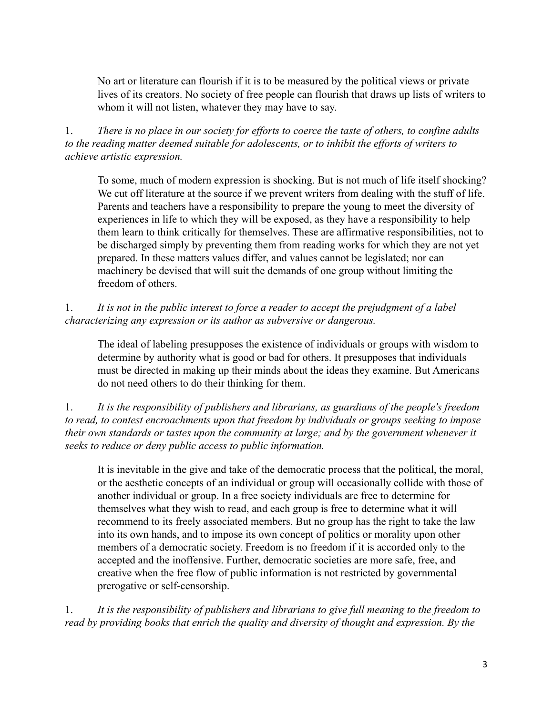No art or literature can flourish if it is to be measured by the political views or private lives of its creators. No society of free people can flourish that draws up lists of writers to whom it will not listen, whatever they may have to say.

1. *There is no place in our society for efforts to coerce the taste of others, to confine adults to the reading matter deemed suitable for adolescents, or to inhibit the efforts of writers to achieve artistic expression.*

To some, much of modern expression is shocking. But is not much of life itself shocking? We cut off literature at the source if we prevent writers from dealing with the stuff of life. Parents and teachers have a responsibility to prepare the young to meet the diversity of experiences in life to which they will be exposed, as they have a responsibility to help them learn to think critically for themselves. These are affirmative responsibilities, not to be discharged simply by preventing them from reading works for which they are not yet prepared. In these matters values differ, and values cannot be legislated; nor can machinery be devised that will suit the demands of one group without limiting the freedom of others.

1. *It is not in the public interest to force a reader to accept the prejudgment of a label characterizing any expression or its author as subversive or dangerous.*

The ideal of labeling presupposes the existence of individuals or groups with wisdom to determine by authority what is good or bad for others. It presupposes that individuals must be directed in making up their minds about the ideas they examine. But Americans do not need others to do their thinking for them.

1. *It is the responsibility of publishers and librarians, as guardians of the people's freedom to read, to contest encroachments upon that freedom by individuals or groups seeking to impose their own standards or tastes upon the community at large; and by the government whenever it seeks to reduce or deny public access to public information.*

It is inevitable in the give and take of the democratic process that the political, the moral, or the aesthetic concepts of an individual or group will occasionally collide with those of another individual or group. In a free society individuals are free to determine for themselves what they wish to read, and each group is free to determine what it will recommend to its freely associated members. But no group has the right to take the law into its own hands, and to impose its own concept of politics or morality upon other members of a democratic society. Freedom is no freedom if it is accorded only to the accepted and the inoffensive. Further, democratic societies are more safe, free, and creative when the free flow of public information is not restricted by governmental prerogative or self-censorship.

1. *It is the responsibility of publishers and librarians to give full meaning to the freedom to read by providing books that enrich the quality and diversity of thought and expression. By the*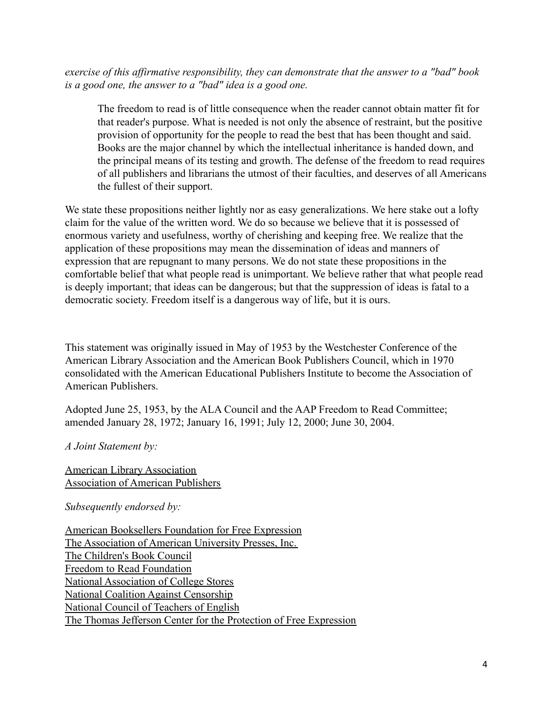*exercise of this affirmative responsibility, they can demonstrate that the answer to a "bad" book is a good one, the answer to a "bad" idea is a good one.*

The freedom to read is of little consequence when the reader cannot obtain matter fit for that reader's purpose. What is needed is not only the absence of restraint, but the positive provision of opportunity for the people to read the best that has been thought and said. Books are the major channel by which the intellectual inheritance is handed down, and the principal means of its testing and growth. The defense of the freedom to read requires of all publishers and librarians the utmost of their faculties, and deserves of all Americans the fullest of their support.

We state these propositions neither lightly nor as easy generalizations. We here stake out a lofty claim for the value of the written word. We do so because we believe that it is possessed of enormous variety and usefulness, worthy of cherishing and keeping free. We realize that the application of these propositions may mean the dissemination of ideas and manners of expression that are repugnant to many persons. We do not state these propositions in the comfortable belief that what people read is unimportant. We believe rather that what people read is deeply important; that ideas can be dangerous; but that the suppression of ideas is fatal to a democratic society. Freedom itself is a dangerous way of life, but it is ours.

This statement was originally issued in May of 1953 by the Westchester Conference of the American Library Association and the American Book Publishers Council, which in 1970 consolidated with the American Educational Publishers Institute to become the Association of American Publishers.

Adopted June 25, 1953, by the ALA Council and the AAP Freedom to Read Committee; amended January 28, 1972; January 16, 1991; July 12, 2000; June 30, 2004.

*A Joint Statement by:*

[American Library Association](http://www.ala.org/) [Association of American Publishers](http://www.publishers.org/)

*Subsequently endorsed by:*

[American Booksellers Foundation for Free Expression](http://www.abffe.com/) [The Association of American University Presses, Inc.](http://www.aaupnet.org/) [The Children's Book Council](http://www.cbcbooks.org/) [Freedom to Read Foundation](http://www.ala.org/groups/affiliates/relatedgroups/freedomtoreadfoundation) [National Association of College Stores](http://www.nacs.org/) [National Coalition Against Censorship](http://www.ncac.org/) [National Council of Teachers of English](http://www.ncte.org/) [The Thomas Jefferson Center for the Protection of Free Expression](http://www.tjcenter.org/)